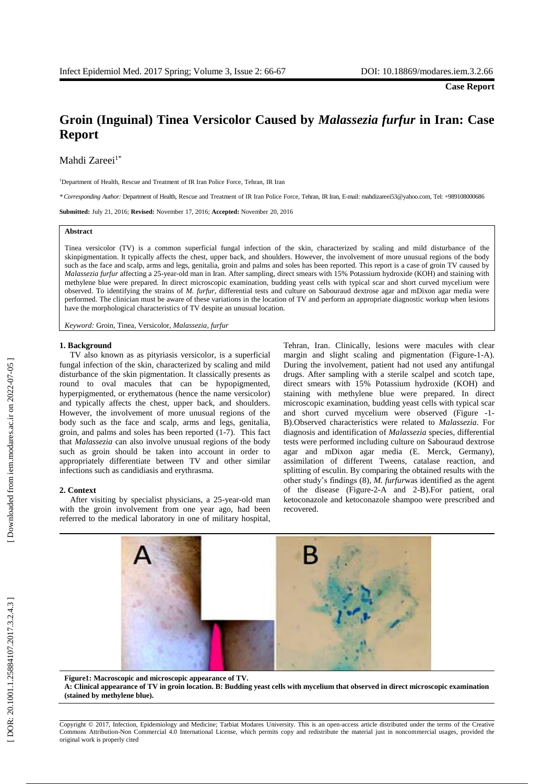**Case Report**

# **Groin (Inguinal) Tinea Versicolor Caused by** *Malassezia furfur* **in Iran: Case Report**

Mahdi Zareei<sup>1\*</sup>

<sup>1</sup>Department of Health, Rescue and Treatment of IR Iran Police Force, Tehran, IR Iran

*\* Corresponding Author:* Department of Health, Rescue and Treatment of IR Iran Police Force, Tehran, IR Iran, E -mail: mahdizareei53@yahoo.com, Tel: +989108000686

**Submitted:** July 21, 2016; **Revised:** November 17, 2016; **Accepted:** November 20, 2016

#### **Abstract**

Tinea versicolor (TV) is a common superficial fungal infection of the skin , characterized by scaling and mild disturbance of the skinpigmentation. It typically affects the chest, upper back , and shoulders . However, the involvement of more unusual regions of the body such as the face and scalp, arms and legs, genitalia, groin and palms and soles has been reported. This report is a case of groin TV caused by Malassezia furfur affecting a 25-year-old man in Iran. After sampling, direct smears with 15% Potassium hydroxide (KOH) and staining with methylene blue were prepared. In direct microscopic examination, budding yeast cells with typical scar and short curved mycelium were observed. To identifying the strains of *M. furfur*, differential tests and culture on Sabouraud dextrose agar and mDixon agar media were performed. The clinician must be aware of these variations in the location of TV and perform an appropriate diagnostic workup when lesions have the morphological characteristics of TV despite an unusual location .

*Keyword:* Groin, Tinea, Versicolor, *Malassezia, furfur*

## **1. Background**

TV also known as as pityriasis versicolor, is a superficial fungal infection of the skin , characterized by scaling and mild disturbance of the skin pigmentation. It classically presents as round to oval macules that can be hypopigmented, hyperpigmented , or erythematous (hence the name versicolor) and typically affects the chest, upper back, and shoulders. However, the involvement of more unusual regions of the body such as the face and scalp, arms and legs, genitalia, groin, and palms and soles has been reported (1 -7). T his fact that *Malassezia* can also involve unusual regions of the body such as groin should be taken into account in order to appropriately differentiate between TV and other similar infection s such as candidiasis and erythrasma.

#### **2. Context**

After visiting by specialist physicians, a 25-year-old man with the groin involvement from one year ago, had been referred to the medical laboratory in one of military hospital ,

Tehran, Iran . Clinically, lesions were macules with clear margin and slight scaling and pigmentation (Figure-1-A). During the involvement , patient had not used any antifungal drugs. After sampling with a sterile scalpel and scotch tape, direct smear s with 15% Potassium hydroxide (KOH) and staining with methylene blue were prepared. In direct microscopic examination , budding yeast cells with typical scar and short curved mycelium were observed (Figure -1-B).Observed characteristics were related to *Malassezia*. For diagnosis and identification of *Malassezia* species, differential tests were performed including culture on Sabouraud dextrose agar and mDixon agar media (E. Merck, Germany), assimilation of different Tweens, catalase reaction , and splitting of esculin . By comparing the obtained results with the other study's findings (8) , *M. furfur*was identified as the agent of the disease (Figure - 2 - A and 2 - B ).For patient , oral ketoconazole and ketoconazole shampoo were prescribed and recovered.



**Figure1: Macroscopic and microscopic appearance of TV. A: Clinical appearance of TV in groin location. B: Budding yeast cells with mycelium that observed in direct microscopic examination (stained by methylene blue).**

Copyright © 2017, Infection, Epidemiology and Medicine; Tarbiat Modares University. This is an open -access article distributed under the terms of the Creative Commons Attribution -Non Commercial 4.0 International License, which permits copy and redistribute the material just in noncommercial usages, provided the original work is properly cited